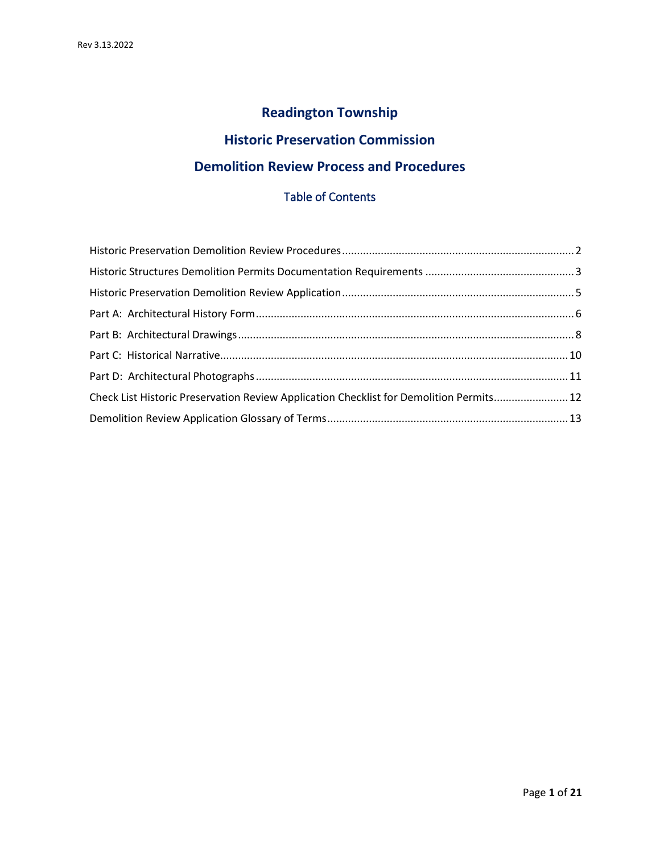# **Readington Township**

## **Historic Preservation Commission**

## **Demolition Review Process and Procedures**

## Table of Contents

| Check List Historic Preservation Review Application Checklist for Demolition Permits 12 |  |
|-----------------------------------------------------------------------------------------|--|
|                                                                                         |  |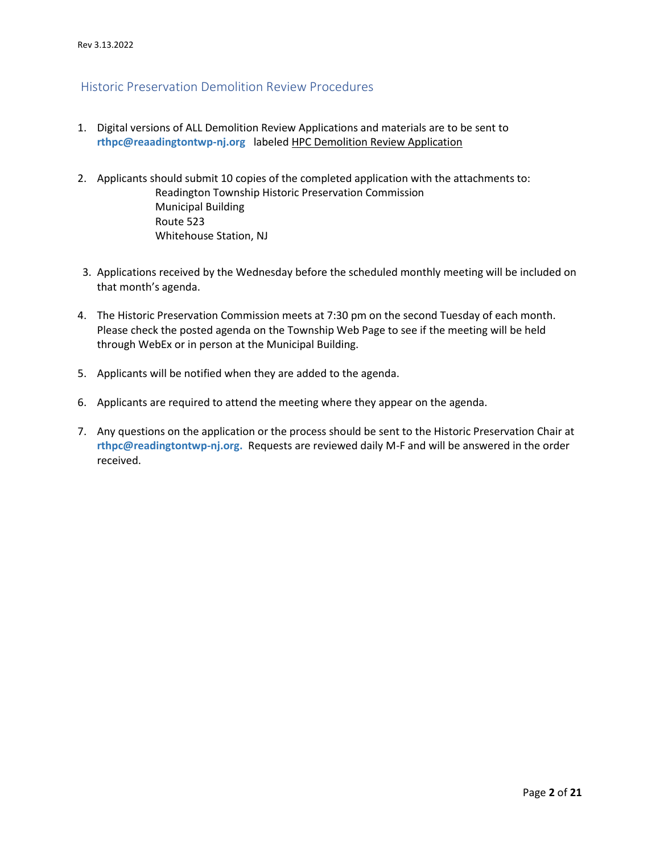## <span id="page-1-0"></span>Historic Preservation Demolition Review Procedures

- 1. Digital versions of ALL Demolition Review Applications and materials are to be sent to **rthpc@reaadingtontwp-nj.org** labeled HPC Demolition Review Application
- 2. Applicants should submit 10 copies of the completed application with the attachments to: Readington Township Historic Preservation Commission Municipal Building Route 523 Whitehouse Station, NJ
- 3. Applications received by the Wednesday before the scheduled monthly meeting will be included on that month's agenda.
- 4. The Historic Preservation Commission meets at 7:30 pm on the second Tuesday of each month. Please check the posted agenda on the Township Web Page to see if the meeting will be held through WebEx or in person at the Municipal Building.
- 5. Applicants will be notified when they are added to the agenda.
- 6. Applicants are required to attend the meeting where they appear on the agenda.
- 7. Any questions on the application or the process should be sent to the Historic Preservation Chair at **rthpc@readingtontwp-nj.org.** Requests are reviewed daily M-F and will be answered in the order received.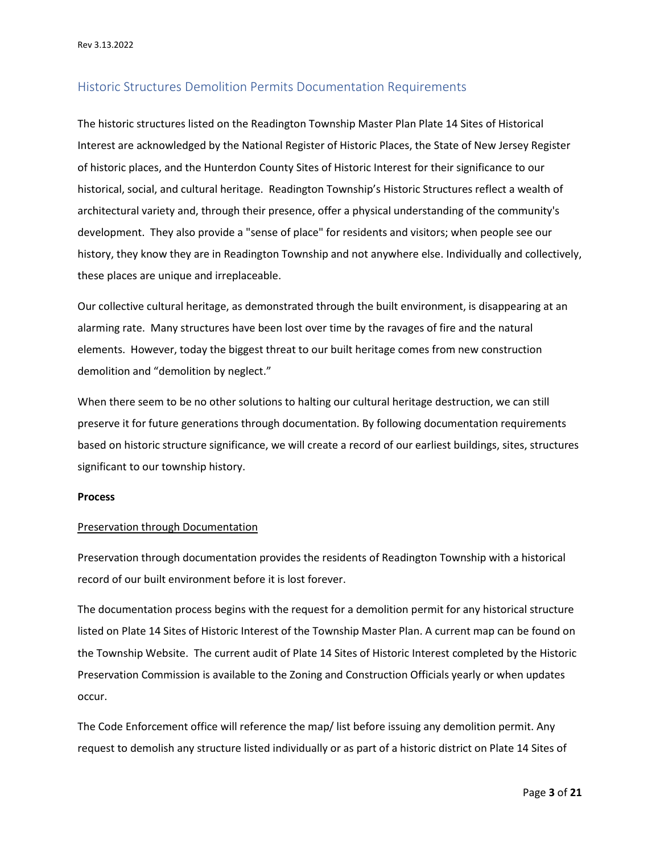#### <span id="page-2-0"></span>Historic Structures Demolition Permits Documentation Requirements

The historic structures listed on the Readington Township Master Plan Plate 14 Sites of Historical Interest are acknowledged by the National Register of Historic Places, the State of New Jersey Register of historic places, and the Hunterdon County Sites of Historic Interest for their significance to our historical, social, and cultural heritage. Readington Township's Historic Structures reflect a wealth of architectural variety and, through their presence, offer a physical understanding of the community's development. They also provide a "sense of place" for residents and visitors; when people see our history, they know they are in Readington Township and not anywhere else. Individually and collectively, these places are unique and irreplaceable.

Our collective cultural heritage, as demonstrated through the built environment, is disappearing at an alarming rate. Many structures have been lost over time by the ravages of fire and the natural elements. However, today the biggest threat to our built heritage comes from new construction demolition and "demolition by neglect."

When there seem to be no other solutions to halting our cultural heritage destruction, we can still preserve it for future generations through documentation. By following documentation requirements based on historic structure significance, we will create a record of our earliest buildings, sites, structures significant to our township history.

#### **Process**

#### Preservation through Documentation

Preservation through documentation provides the residents of Readington Township with a historical record of our built environment before it is lost forever.

The documentation process begins with the request for a demolition permit for any historical structure listed on Plate 14 Sites of Historic Interest of the Township Master Plan. A current map can be found on the Township Website. The current audit of Plate 14 Sites of Historic Interest completed by the Historic Preservation Commission is available to the Zoning and Construction Officials yearly or when updates occur.

The Code Enforcement office will reference the map/ list before issuing any demolition permit. Any request to demolish any structure listed individually or as part of a historic district on Plate 14 Sites of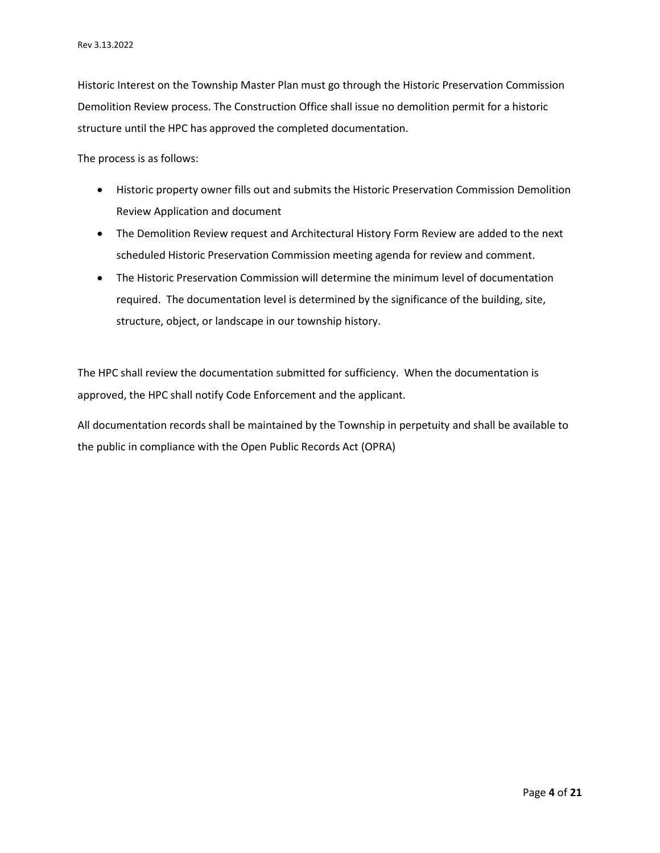Historic Interest on the Township Master Plan must go through the Historic Preservation Commission Demolition Review process. The Construction Office shall issue no demolition permit for a historic structure until the HPC has approved the completed documentation.

The process is as follows:

- Historic property owner fills out and submits the Historic Preservation Commission Demolition Review Application and document
- The Demolition Review request and Architectural History Form Review are added to the next scheduled Historic Preservation Commission meeting agenda for review and comment.
- The Historic Preservation Commission will determine the minimum level of documentation required. The documentation level is determined by the significance of the building, site, structure, object, or landscape in our township history.

The HPC shall review the documentation submitted for sufficiency. When the documentation is approved, the HPC shall notify Code Enforcement and the applicant.

All documentation records shall be maintained by the Township in perpetuity and shall be available to the public in compliance with the Open Public Records Act (OPRA)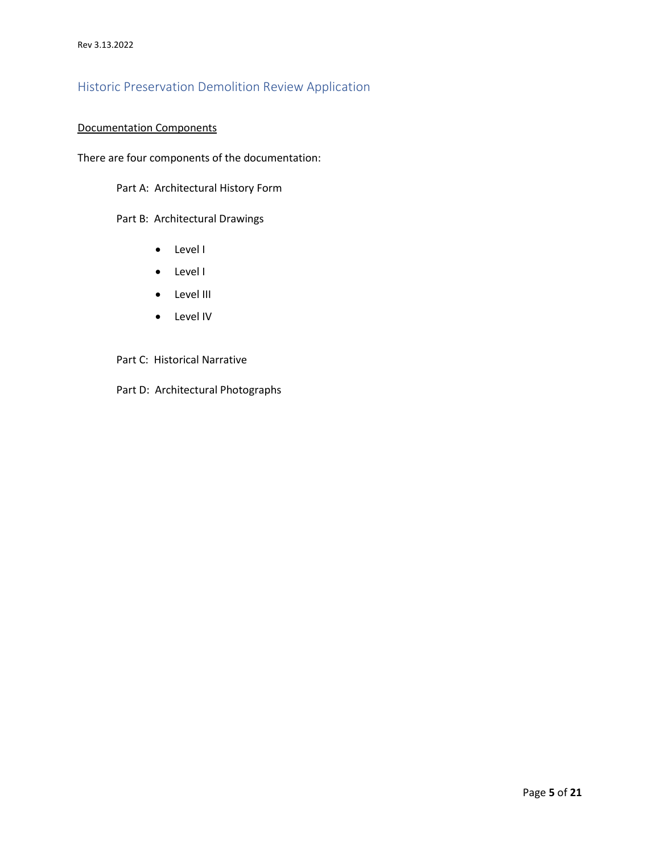## <span id="page-4-0"></span>Historic Preservation Demolition Review Application

#### Documentation Components

There are four components of the documentation:

Part A: Architectural History Form

Part B: Architectural Drawings

- Level I
- Level I
- Level III
- Level IV
- Part C: Historical Narrative
- Part D: Architectural Photographs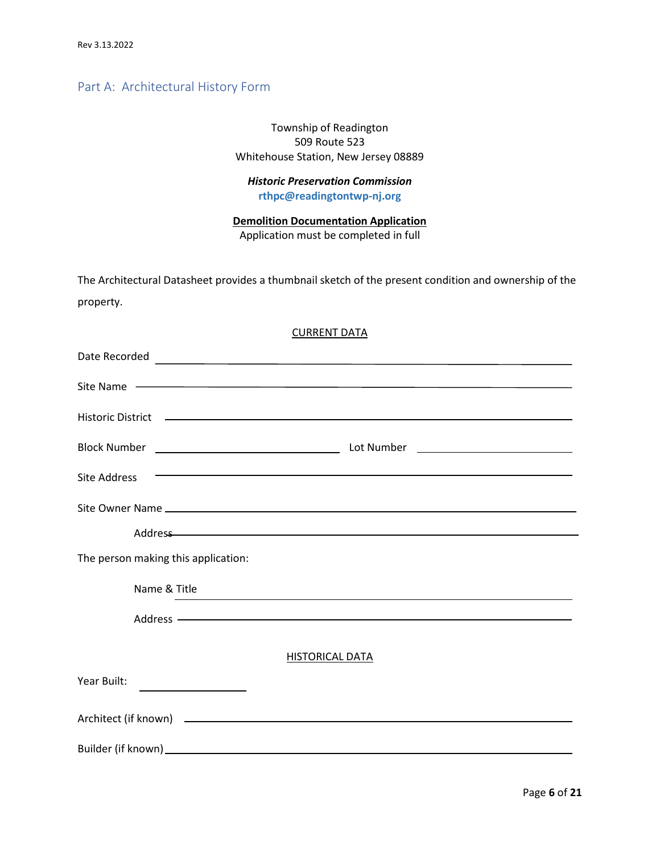## <span id="page-5-0"></span>Part A: Architectural History Form

### Township of Readington 509 Route 523 Whitehouse Station, New Jersey 08889

### *Historic Preservation Commission* **rthpc@readingtontwp-nj.org**

**Demolition Documentation Application**  Application must be completed in full

| The Architectural Datasheet provides a thumbnail sketch of the present condition and ownership of the |  |
|-------------------------------------------------------------------------------------------------------|--|
| property.                                                                                             |  |

#### CURRENT DATA

| Site Name                                                                                                                            |
|--------------------------------------------------------------------------------------------------------------------------------------|
|                                                                                                                                      |
|                                                                                                                                      |
| <u> Andreas Andreas Andreas Andreas Andreas Andreas Andreas Andreas Andreas Andreas Andreas Andreas Andreas Andr</u><br>Site Address |
|                                                                                                                                      |
| Address and the contract of the contract of the contract of the contract of the contract of the contract of the                      |
| The person making this application:                                                                                                  |
| Name & Title<br>,我们也不会有什么。""我们的人,我们也不会有什么?""我们的人,我们也不会有什么?""我们的人,我们也不会有什么?""我们的人,我们也不会有什么?""我们的人                                     |
|                                                                                                                                      |
| <b>HISTORICAL DATA</b>                                                                                                               |
| Year Built:                                                                                                                          |
|                                                                                                                                      |
| Builder (if known) entertainment and the control of the control of the control of the control of the control of                      |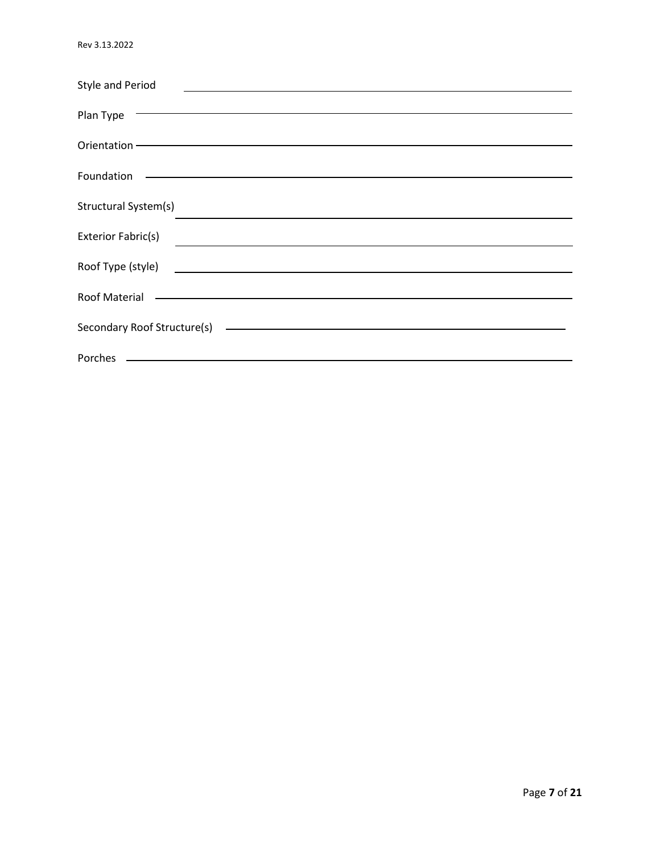| <b>Style and Period</b>                                                                                                                             |
|-----------------------------------------------------------------------------------------------------------------------------------------------------|
|                                                                                                                                                     |
| <u> Andreas Andreas Andreas Andreas Andreas Andreas Andreas Andreas Andreas Andreas Andreas Andreas Andreas Andr</u><br>Plan Type                   |
|                                                                                                                                                     |
|                                                                                                                                                     |
| Foundation<br><u> 1989 - Johann Stoff, deutscher Stoff, der Stoff, der Stoff, der Stoff, der Stoff, der Stoff, der Stoff, der S</u>                 |
|                                                                                                                                                     |
| Structural System(s)<br>and the control of the control of the control of the control of the control of the control of the control of the            |
|                                                                                                                                                     |
| Exterior Fabric(s)                                                                                                                                  |
| Roof Type (style)<br><u> 1980 - Johann Barbara, martin amerikan basar dan berasal dan berasal dalam basar dalam basar dalam basar dala</u>          |
|                                                                                                                                                     |
| <u> 1989 - Andrea Barbara, amerikana amerikana amerikana amerikana amerikana amerikana amerikana amerikana amerika</u><br>Roof Material             |
|                                                                                                                                                     |
| Secondary Roof Structure(s)<br><u> Andreas Andreas Andreas Andreas Andreas Andreas Andreas Andreas Andreas Andreas Andreas Andreas Andreas Andr</u> |
| <u> 1989 - Johann Stoff, deutscher Stoff, der Stoff, der Stoff, der Stoff, der Stoff, der Stoff, der Stoff, der S</u><br>Porches                    |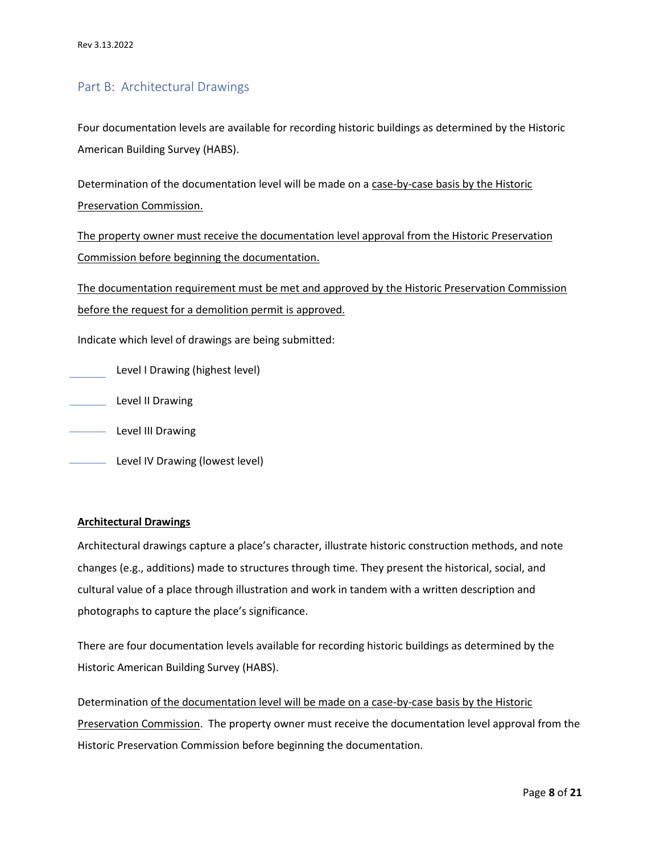### <span id="page-7-0"></span>Part B: Architectural Drawings

Four documentation levels are available for recording historic buildings as determined by the Historic American Building Survey (HABS).

Determination of the documentation level will be made on a case-by-case basis by the Historic Preservation Commission.

The property owner must receive the documentation level approval from the Historic Preservation Commission before beginning the documentation.

The documentation requirement must be met and approved by the Historic Preservation Commission before the request for a demolition permit is approved.

Indicate which level of drawings are being submitted:

Level I Drawing (highest level)

**Level II Drawing** 

**Level III Drawing** 

**Level IV Drawing (lowest level)** 

#### **Architectural Drawings**

Architectural drawings capture a place's character, illustrate historic construction methods, and note changes (e.g., additions) made to structures through time. They present the historical, social, and cultural value of a place through illustration and work in tandem with a written description and photographs to capture the place's significance.

There are four documentation levels available for recording historic buildings as determined by the Historic American Building Survey (HABS).

Determination of the documentation level will be made on a case-by-case basis by the Historic Preservation Commission. The property owner must receive the documentation level approval from the Historic Preservation Commission before beginning the documentation.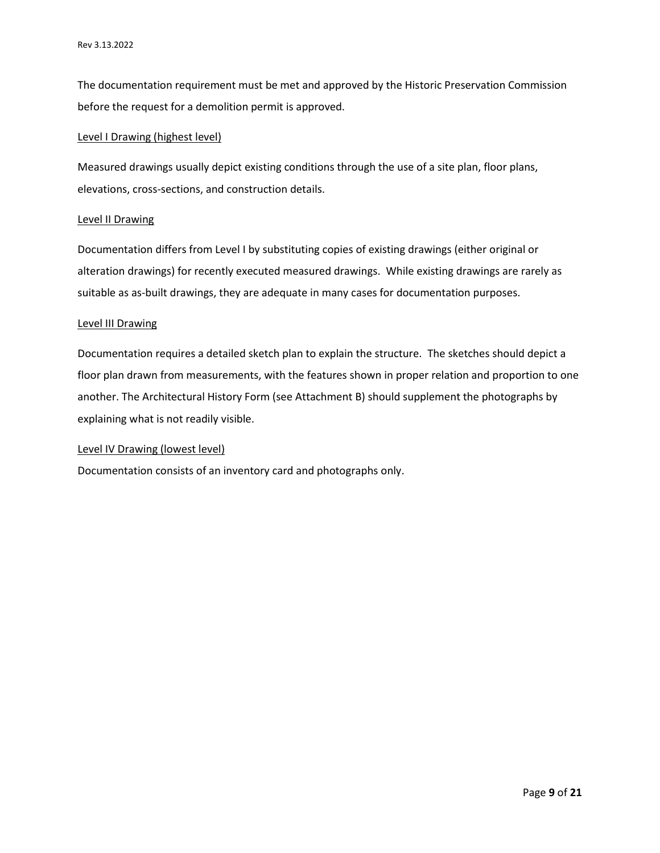The documentation requirement must be met and approved by the Historic Preservation Commission before the request for a demolition permit is approved.

#### Level I Drawing (highest level)

Measured drawings usually depict existing conditions through the use of a site plan, floor plans, elevations, cross-sections, and construction details.

#### Level II Drawing

Documentation differs from Level I by substituting copies of existing drawings (either original or alteration drawings) for recently executed measured drawings. While existing drawings are rarely as suitable as as-built drawings, they are adequate in many cases for documentation purposes.

#### Level III Drawing

Documentation requires a detailed sketch plan to explain the structure. The sketches should depict a floor plan drawn from measurements, with the features shown in proper relation and proportion to one another. The Architectural History Form (see Attachment B) should supplement the photographs by explaining what is not readily visible.

#### Level IV Drawing (lowest level)

Documentation consists of an inventory card and photographs only.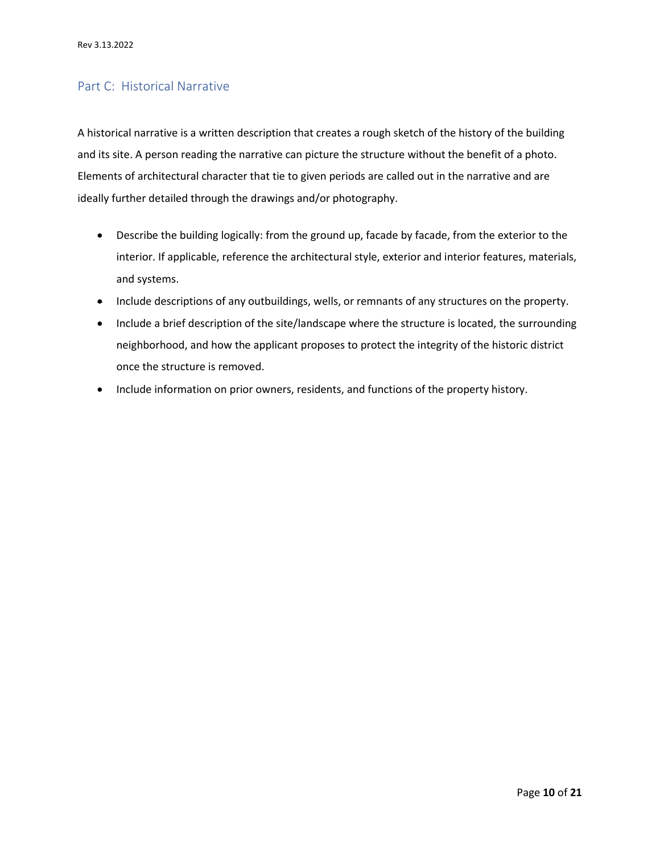## <span id="page-9-0"></span>Part C: Historical Narrative

A historical narrative is a written description that creates a rough sketch of the history of the building and its site. A person reading the narrative can picture the structure without the benefit of a photo. Elements of architectural character that tie to given periods are called out in the narrative and are ideally further detailed through the drawings and/or photography.

- Describe the building logically: from the ground up, facade by facade, from the exterior to the interior. If applicable, reference the architectural style, exterior and interior features, materials, and systems.
- Include descriptions of any outbuildings, wells, or remnants of any structures on the property.
- Include a brief description of the site/landscape where the structure is located, the surrounding neighborhood, and how the applicant proposes to protect the integrity of the historic district once the structure is removed.
- Include information on prior owners, residents, and functions of the property history.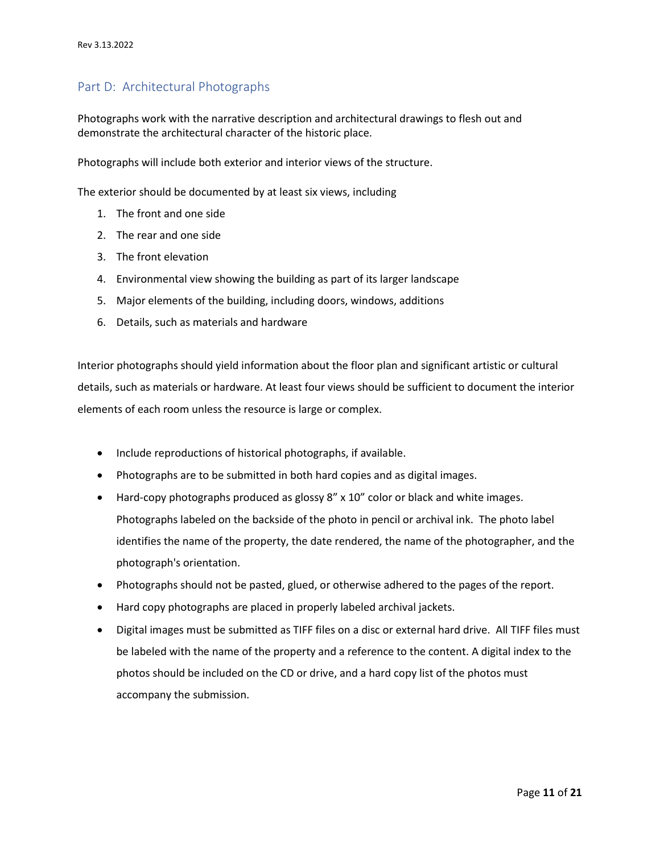## <span id="page-10-0"></span>Part D: Architectural Photographs

Photographs work with the narrative description and architectural drawings to flesh out and demonstrate the architectural character of the historic place.

Photographs will include both exterior and interior views of the structure.

The exterior should be documented by at least six views, including

- 1. The front and one side
- 2. The rear and one side
- 3. The front elevation
- 4. Environmental view showing the building as part of its larger landscape
- 5. Major elements of the building, including doors, windows, additions
- 6. Details, such as materials and hardware

Interior photographs should yield information about the floor plan and significant artistic or cultural details, such as materials or hardware. At least four views should be sufficient to document the interior elements of each room unless the resource is large or complex.

- Include reproductions of historical photographs, if available.
- Photographs are to be submitted in both hard copies and as digital images.
- Hard-copy photographs produced as glossy 8" x 10" color or black and white images. Photographs labeled on the backside of the photo in pencil or archival ink. The photo label identifies the name of the property, the date rendered, the name of the photographer, and the photograph's orientation.
- Photographs should not be pasted, glued, or otherwise adhered to the pages of the report.
- Hard copy photographs are placed in properly labeled archival jackets.
- Digital images must be submitted as TIFF files on a disc or external hard drive. All TIFF files must be labeled with the name of the property and a reference to the content. A digital index to the photos should be included on the CD or drive, and a hard copy list of the photos must accompany the submission.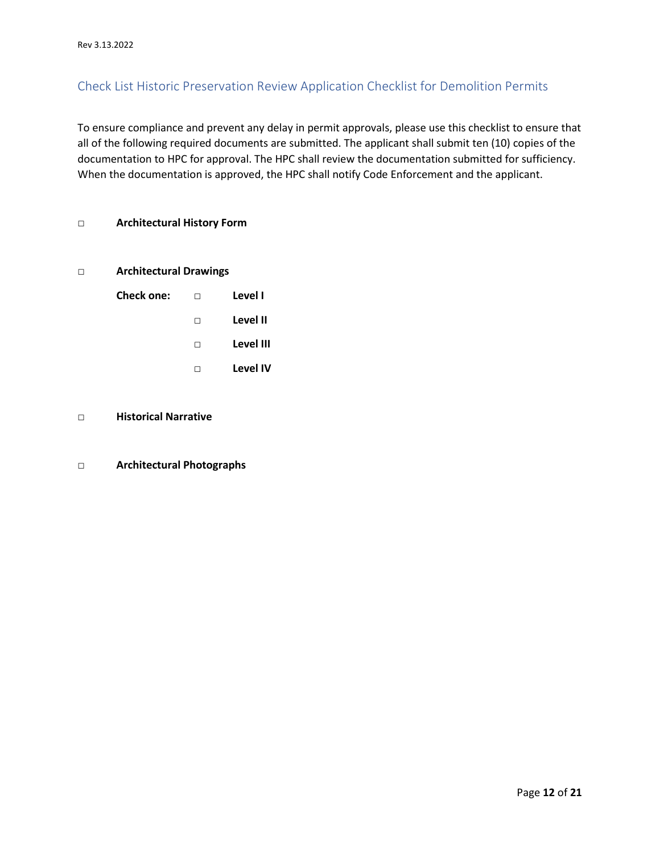## <span id="page-11-0"></span>Check List Historic Preservation Review Application Checklist for Demolition Permits

To ensure compliance and prevent any delay in permit approvals, please use this checklist to ensure that all of the following required documents are submitted. The applicant shall submit ten (10) copies of the documentation to HPC for approval. The HPC shall review the documentation submitted for sufficiency. When the documentation is approved, the HPC shall notify Code Enforcement and the applicant.

#### **□ Architectural History Form**

#### **□ Architectural Drawings**

| Check one: | П | Level I   |
|------------|---|-----------|
|            | П | Level II  |
|            | П | Level III |
|            |   | Level IV  |

#### **□ Historical Narrative**

#### **□ Architectural Photographs**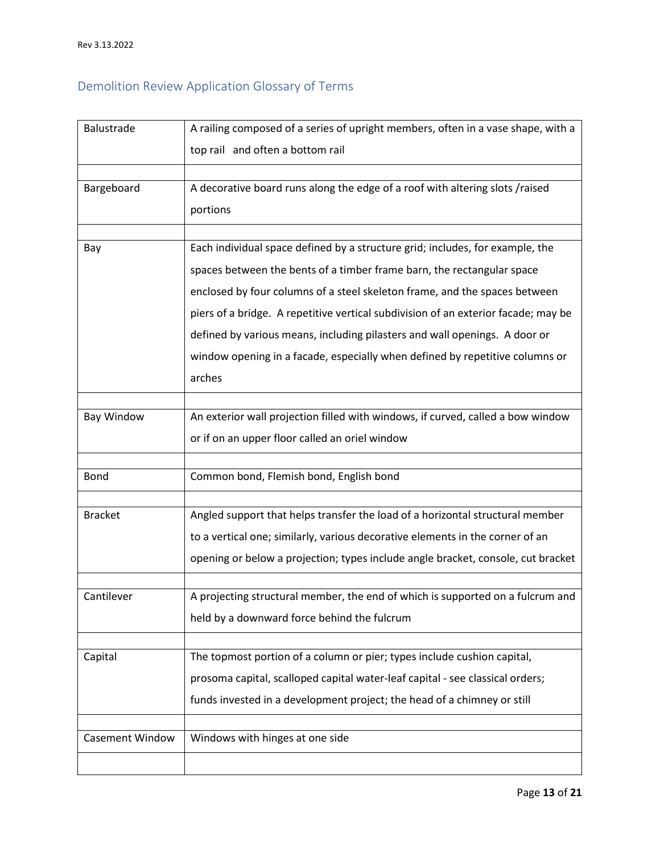# <span id="page-12-0"></span>Demolition Review Application Glossary of Terms

| Balustrade             | A railing composed of a series of upright members, often in a vase shape, with a   |
|------------------------|------------------------------------------------------------------------------------|
|                        | top rail and often a bottom rail                                                   |
|                        |                                                                                    |
| Bargeboard             | A decorative board runs along the edge of a roof with altering slots /raised       |
|                        | portions                                                                           |
|                        |                                                                                    |
| Bay                    | Each individual space defined by a structure grid; includes, for example, the      |
|                        | spaces between the bents of a timber frame barn, the rectangular space             |
|                        | enclosed by four columns of a steel skeleton frame, and the spaces between         |
|                        | piers of a bridge. A repetitive vertical subdivision of an exterior facade; may be |
|                        | defined by various means, including pilasters and wall openings. A door or         |
|                        | window opening in a facade, especially when defined by repetitive columns or       |
|                        | arches                                                                             |
|                        |                                                                                    |
| Bay Window             | An exterior wall projection filled with windows, if curved, called a bow window    |
|                        | or if on an upper floor called an oriel window                                     |
|                        |                                                                                    |
| <b>Bond</b>            | Common bond, Flemish bond, English bond                                            |
|                        |                                                                                    |
| <b>Bracket</b>         | Angled support that helps transfer the load of a horizontal structural member      |
|                        | to a vertical one; similarly, various decorative elements in the corner of an      |
|                        | opening or below a projection; types include angle bracket, console, cut bracket   |
|                        |                                                                                    |
| Cantilever             | A projecting structural member, the end of which is supported on a fulcrum and     |
|                        | held by a downward force behind the fulcrum                                        |
|                        |                                                                                    |
| Capital                | The topmost portion of a column or pier; types include cushion capital,            |
|                        | prosoma capital, scalloped capital water-leaf capital - see classical orders;      |
|                        | funds invested in a development project; the head of a chimney or still            |
|                        |                                                                                    |
| <b>Casement Window</b> | Windows with hinges at one side                                                    |
|                        |                                                                                    |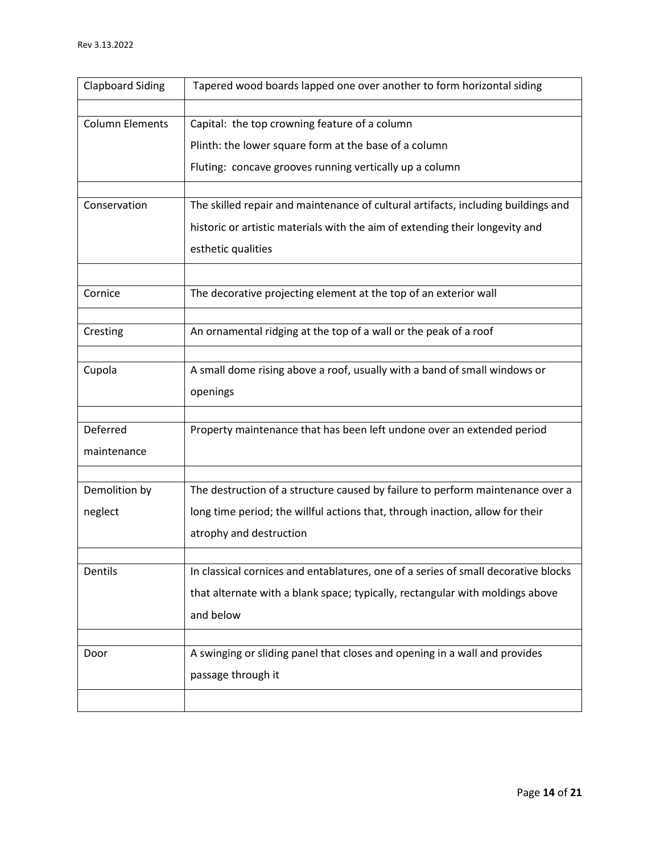| <b>Clapboard Siding</b> | Tapered wood boards lapped one over another to form horizontal siding              |
|-------------------------|------------------------------------------------------------------------------------|
|                         |                                                                                    |
| <b>Column Elements</b>  | Capital: the top crowning feature of a column                                      |
|                         | Plinth: the lower square form at the base of a column                              |
|                         | Fluting: concave grooves running vertically up a column                            |
|                         |                                                                                    |
| Conservation            | The skilled repair and maintenance of cultural artifacts, including buildings and  |
|                         | historic or artistic materials with the aim of extending their longevity and       |
|                         | esthetic qualities                                                                 |
|                         |                                                                                    |
| Cornice                 | The decorative projecting element at the top of an exterior wall                   |
|                         |                                                                                    |
| Cresting                | An ornamental ridging at the top of a wall or the peak of a roof                   |
| Cupola                  | A small dome rising above a roof, usually with a band of small windows or          |
|                         | openings                                                                           |
|                         |                                                                                    |
| Deferred                | Property maintenance that has been left undone over an extended period             |
| maintenance             |                                                                                    |
|                         |                                                                                    |
| Demolition by           | The destruction of a structure caused by failure to perform maintenance over a     |
| neglect                 | long time period; the willful actions that, through inaction, allow for their      |
|                         | atrophy and destruction                                                            |
|                         |                                                                                    |
| Dentils                 | In classical cornices and entablatures, one of a series of small decorative blocks |
|                         | that alternate with a blank space; typically, rectangular with moldings above      |
|                         |                                                                                    |
|                         | and below                                                                          |
|                         | A swinging or sliding panel that closes and opening in a wall and provides         |
| Door                    |                                                                                    |
|                         | passage through it                                                                 |
|                         |                                                                                    |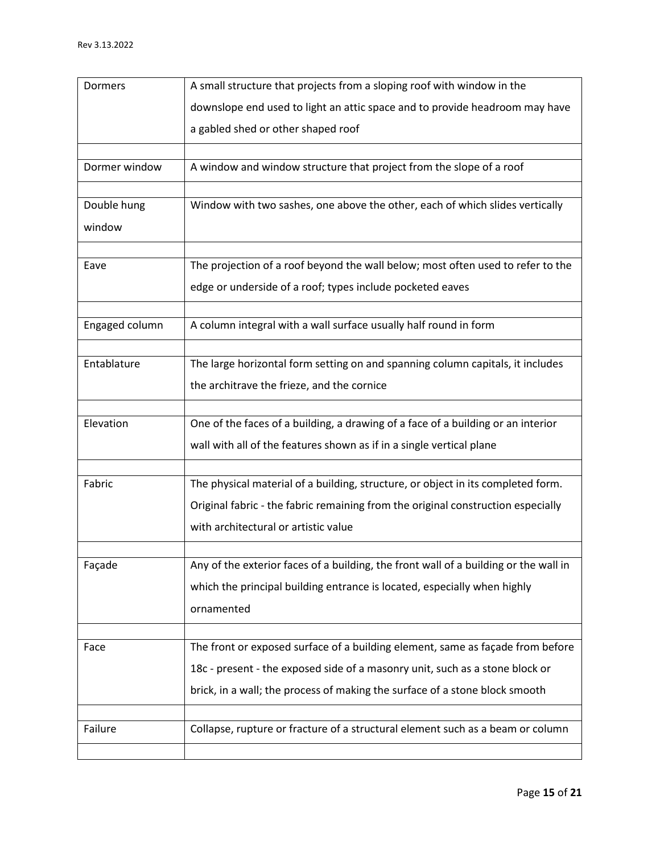| Dormers        | A small structure that projects from a sloping roof with window in the               |
|----------------|--------------------------------------------------------------------------------------|
|                | downslope end used to light an attic space and to provide headroom may have          |
|                | a gabled shed or other shaped roof                                                   |
|                |                                                                                      |
| Dormer window  | A window and window structure that project from the slope of a roof                  |
|                |                                                                                      |
| Double hung    | Window with two sashes, one above the other, each of which slides vertically         |
| window         |                                                                                      |
|                |                                                                                      |
| Eave           | The projection of a roof beyond the wall below; most often used to refer to the      |
|                | edge or underside of a roof; types include pocketed eaves                            |
|                |                                                                                      |
| Engaged column | A column integral with a wall surface usually half round in form                     |
| Entablature    | The large horizontal form setting on and spanning column capitals, it includes       |
|                | the architrave the frieze, and the cornice                                           |
|                |                                                                                      |
| Elevation      | One of the faces of a building, a drawing of a face of a building or an interior     |
|                | wall with all of the features shown as if in a single vertical plane                 |
|                |                                                                                      |
| Fabric         | The physical material of a building, structure, or object in its completed form.     |
|                | Original fabric - the fabric remaining from the original construction especially     |
|                | with architectural or artistic value                                                 |
|                |                                                                                      |
| Façade         | Any of the exterior faces of a building, the front wall of a building or the wall in |
|                | which the principal building entrance is located, especially when highly             |
|                | ornamented                                                                           |
|                |                                                                                      |
| Face           | The front or exposed surface of a building element, same as façade from before       |
|                | 18c - present - the exposed side of a masonry unit, such as a stone block or         |
|                | brick, in a wall; the process of making the surface of a stone block smooth          |
|                |                                                                                      |
| Failure        | Collapse, rupture or fracture of a structural element such as a beam or column       |
|                |                                                                                      |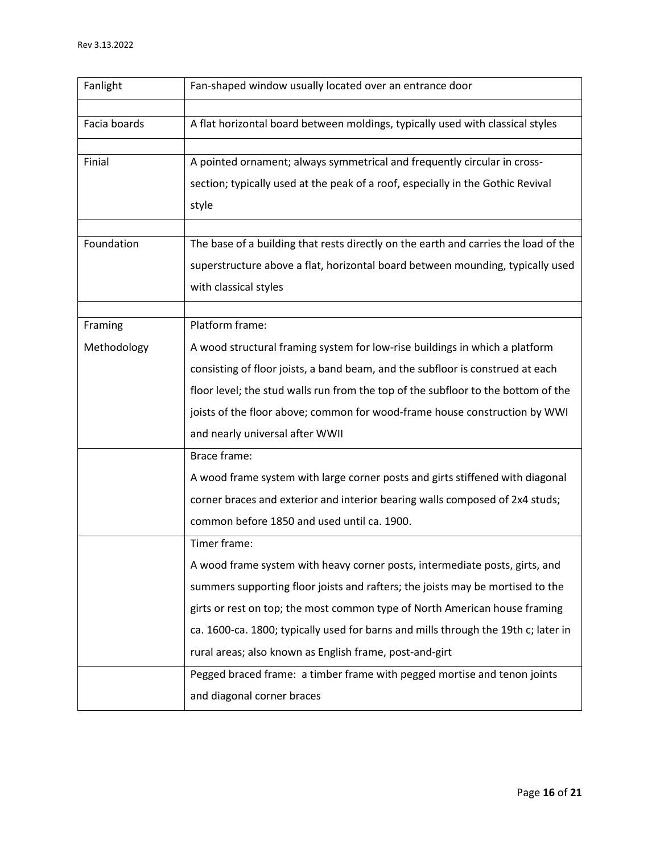| Fanlight     | Fan-shaped window usually located over an entrance door                             |
|--------------|-------------------------------------------------------------------------------------|
|              |                                                                                     |
| Facia boards | A flat horizontal board between moldings, typically used with classical styles      |
|              |                                                                                     |
| Finial       | A pointed ornament; always symmetrical and frequently circular in cross-            |
|              | section; typically used at the peak of a roof, especially in the Gothic Revival     |
|              | style                                                                               |
|              |                                                                                     |
| Foundation   | The base of a building that rests directly on the earth and carries the load of the |
|              | superstructure above a flat, horizontal board between mounding, typically used      |
|              | with classical styles                                                               |
|              |                                                                                     |
| Framing      | Platform frame:                                                                     |
| Methodology  | A wood structural framing system for low-rise buildings in which a platform         |
|              | consisting of floor joists, a band beam, and the subfloor is construed at each      |
|              | floor level; the stud walls run from the top of the subfloor to the bottom of the   |
|              | joists of the floor above; common for wood-frame house construction by WWI          |
|              | and nearly universal after WWII                                                     |
|              | Brace frame:                                                                        |
|              | A wood frame system with large corner posts and girts stiffened with diagonal       |
|              | corner braces and exterior and interior bearing walls composed of 2x4 studs;        |
|              | common before 1850 and used until ca. 1900.                                         |
|              | Timer frame:                                                                        |
|              | A wood frame system with heavy corner posts, intermediate posts, girts, and         |
|              | summers supporting floor joists and rafters; the joists may be mortised to the      |
|              | girts or rest on top; the most common type of North American house framing          |
|              | ca. 1600-ca. 1800; typically used for barns and mills through the 19th c; later in  |
|              | rural areas; also known as English frame, post-and-girt                             |
|              | Pegged braced frame: a timber frame with pegged mortise and tenon joints            |
|              | and diagonal corner braces                                                          |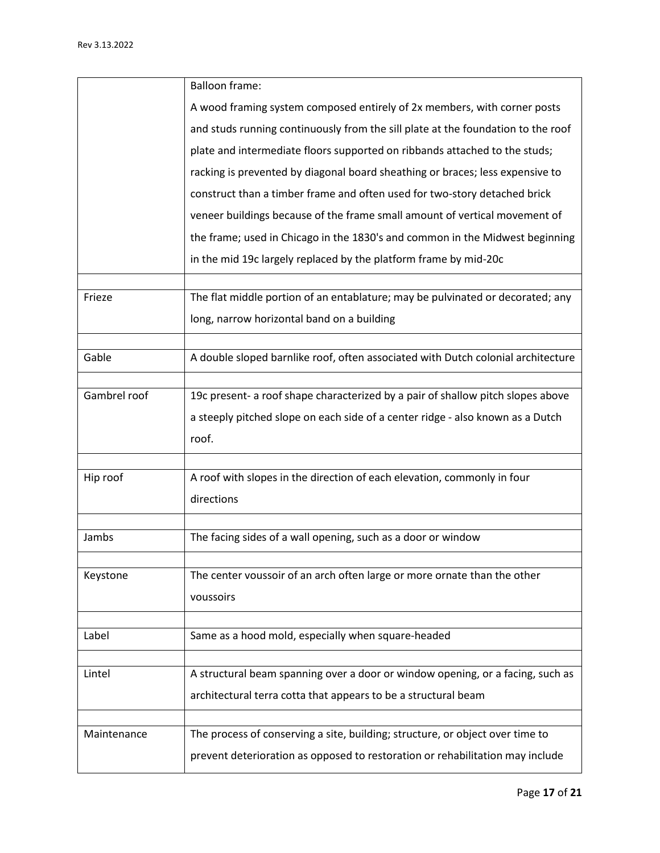|              | <b>Balloon frame:</b>                                                            |
|--------------|----------------------------------------------------------------------------------|
|              | A wood framing system composed entirely of 2x members, with corner posts         |
|              | and studs running continuously from the sill plate at the foundation to the roof |
|              | plate and intermediate floors supported on ribbands attached to the studs;       |
|              | racking is prevented by diagonal board sheathing or braces; less expensive to    |
|              | construct than a timber frame and often used for two-story detached brick        |
|              | veneer buildings because of the frame small amount of vertical movement of       |
|              | the frame; used in Chicago in the 1830's and common in the Midwest beginning     |
|              | in the mid 19c largely replaced by the platform frame by mid-20c                 |
| Frieze       | The flat middle portion of an entablature; may be pulvinated or decorated; any   |
|              | long, narrow horizontal band on a building                                       |
|              |                                                                                  |
| Gable        | A double sloped barnlike roof, often associated with Dutch colonial architecture |
|              |                                                                                  |
| Gambrel roof | 19c present- a roof shape characterized by a pair of shallow pitch slopes above  |
|              | a steeply pitched slope on each side of a center ridge - also known as a Dutch   |
|              | roof.                                                                            |
| Hip roof     | A roof with slopes in the direction of each elevation, commonly in four          |
|              | directions                                                                       |
|              |                                                                                  |
| Jambs        | The facing sides of a wall opening, such as a door or window                     |
|              |                                                                                  |
| Keystone     | The center voussoir of an arch often large or more ornate than the other         |
|              | voussoirs                                                                        |
| Label        | Same as a hood mold, especially when square-headed                               |
|              |                                                                                  |
| Lintel       | A structural beam spanning over a door or window opening, or a facing, such as   |
|              | architectural terra cotta that appears to be a structural beam                   |
|              |                                                                                  |
| Maintenance  | The process of conserving a site, building; structure, or object over time to    |
|              | prevent deterioration as opposed to restoration or rehabilitation may include    |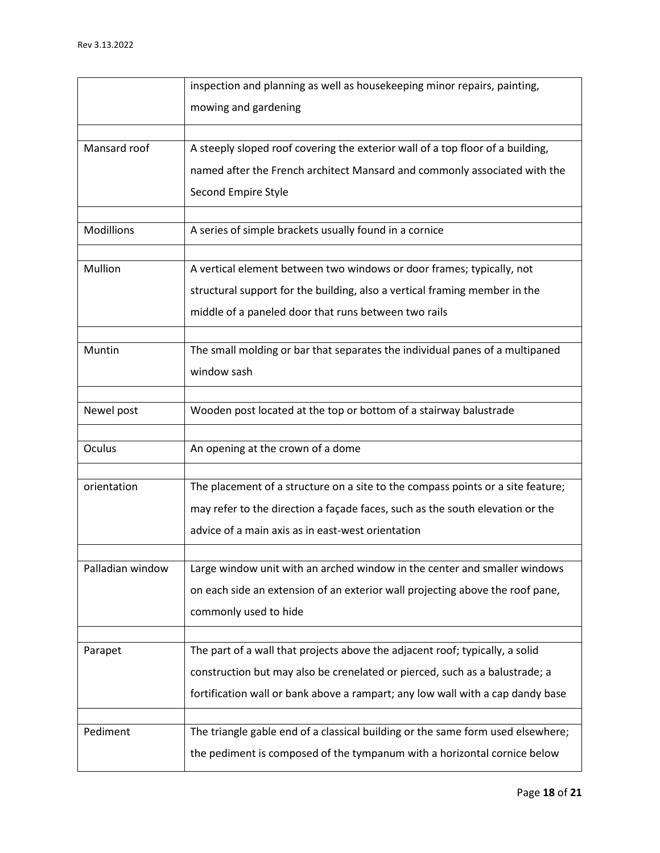|                  | inspection and planning as well as housekeeping minor repairs, painting,        |
|------------------|---------------------------------------------------------------------------------|
|                  | mowing and gardening                                                            |
|                  |                                                                                 |
| Mansard roof     | A steeply sloped roof covering the exterior wall of a top floor of a building,  |
|                  | named after the French architect Mansard and commonly associated with the       |
|                  | Second Empire Style                                                             |
|                  |                                                                                 |
| Modillions       | A series of simple brackets usually found in a cornice                          |
| Mullion          | A vertical element between two windows or door frames; typically, not           |
|                  | structural support for the building, also a vertical framing member in the      |
|                  | middle of a paneled door that runs between two rails                            |
|                  |                                                                                 |
| Muntin           | The small molding or bar that separates the individual panes of a multipaned    |
|                  | window sash                                                                     |
|                  |                                                                                 |
| Newel post       | Wooden post located at the top or bottom of a stairway balustrade               |
|                  |                                                                                 |
| Oculus           | An opening at the crown of a dome                                               |
|                  |                                                                                 |
| orientation      | The placement of a structure on a site to the compass points or a site feature; |
|                  | may refer to the direction a façade faces, such as the south elevation or the   |
|                  | advice of a main axis as in east-west orientation                               |
|                  |                                                                                 |
| Palladian window | Large window unit with an arched window in the center and smaller windows       |
|                  | on each side an extension of an exterior wall projecting above the roof pane,   |
|                  | commonly used to hide                                                           |
|                  |                                                                                 |
| Parapet          | The part of a wall that projects above the adjacent roof; typically, a solid    |
|                  | construction but may also be crenelated or pierced, such as a balustrade; a     |
|                  | fortification wall or bank above a rampart; any low wall with a cap dandy base  |
| Pediment         | The triangle gable end of a classical building or the same form used elsewhere; |
|                  |                                                                                 |
|                  | the pediment is composed of the tympanum with a horizontal cornice below        |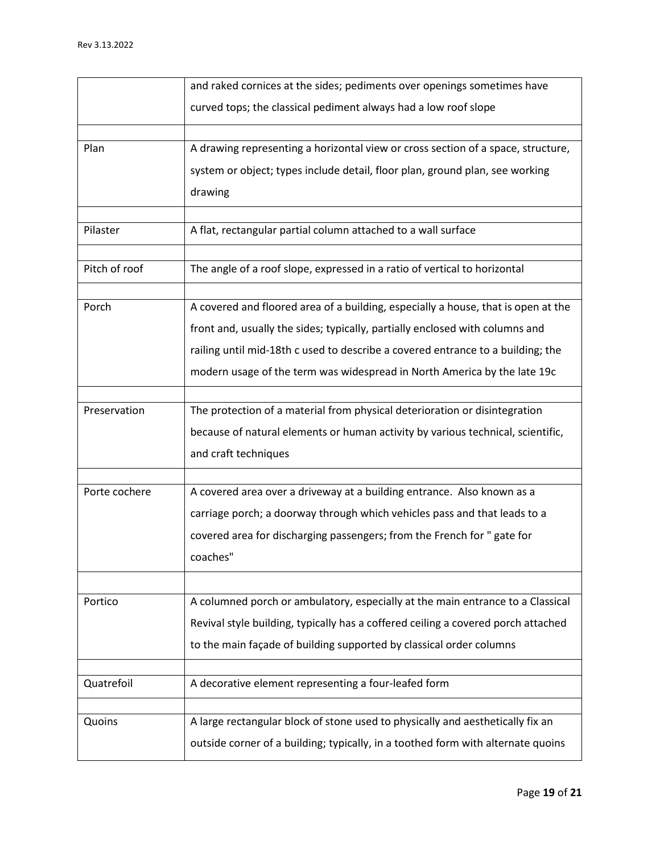|               | and raked cornices at the sides; pediments over openings sometimes have           |
|---------------|-----------------------------------------------------------------------------------|
|               | curved tops; the classical pediment always had a low roof slope                   |
| Plan          |                                                                                   |
|               | A drawing representing a horizontal view or cross section of a space, structure,  |
|               | system or object; types include detail, floor plan, ground plan, see working      |
|               | drawing                                                                           |
| Pilaster      | A flat, rectangular partial column attached to a wall surface                     |
|               |                                                                                   |
| Pitch of roof | The angle of a roof slope, expressed in a ratio of vertical to horizontal         |
|               |                                                                                   |
| Porch         | A covered and floored area of a building, especially a house, that is open at the |
|               | front and, usually the sides; typically, partially enclosed with columns and      |
|               | railing until mid-18th c used to describe a covered entrance to a building; the   |
|               | modern usage of the term was widespread in North America by the late 19c          |
| Preservation  | The protection of a material from physical deterioration or disintegration        |
|               |                                                                                   |
|               | because of natural elements or human activity by various technical, scientific,   |
|               | and craft techniques                                                              |
| Porte cochere | A covered area over a driveway at a building entrance. Also known as a            |
|               |                                                                                   |
|               | carriage porch; a doorway through which vehicles pass and that leads to a         |
|               | covered area for discharging passengers; from the French for " gate for           |
|               | coaches"                                                                          |
|               |                                                                                   |
| Portico       | A columned porch or ambulatory, especially at the main entrance to a Classical    |
|               | Revival style building, typically has a coffered ceiling a covered porch attached |
|               | to the main façade of building supported by classical order columns               |
|               |                                                                                   |
| Quatrefoil    | A decorative element representing a four-leafed form                              |
| Quoins        | A large rectangular block of stone used to physically and aesthetically fix an    |
|               | outside corner of a building; typically, in a toothed form with alternate quoins  |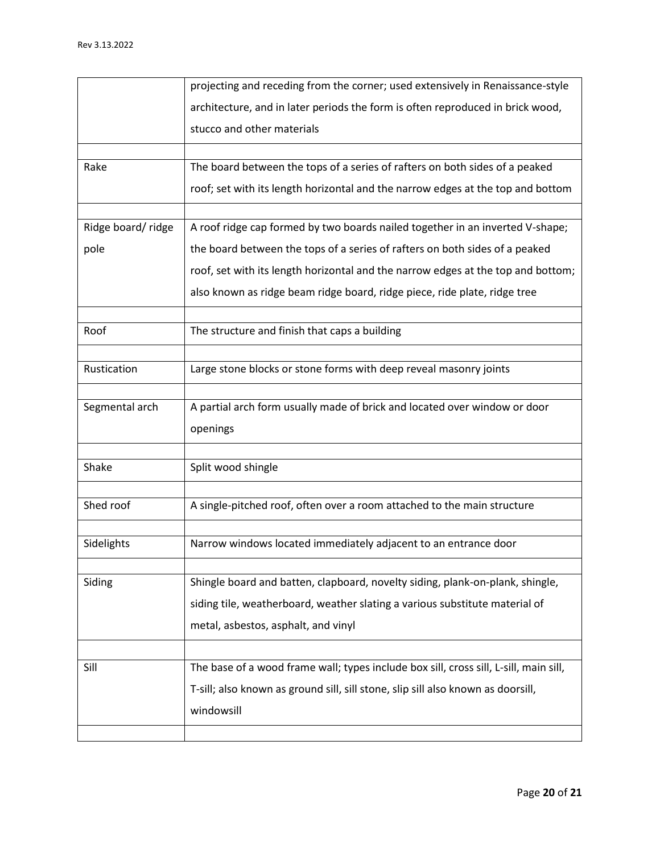|                   | projecting and receding from the corner; used extensively in Renaissance-style        |
|-------------------|---------------------------------------------------------------------------------------|
|                   | architecture, and in later periods the form is often reproduced in brick wood,        |
|                   | stucco and other materials                                                            |
|                   |                                                                                       |
| Rake              | The board between the tops of a series of rafters on both sides of a peaked           |
|                   | roof; set with its length horizontal and the narrow edges at the top and bottom       |
|                   |                                                                                       |
| Ridge board/ridge | A roof ridge cap formed by two boards nailed together in an inverted V-shape;         |
| pole              | the board between the tops of a series of rafters on both sides of a peaked           |
|                   | roof, set with its length horizontal and the narrow edges at the top and bottom;      |
|                   | also known as ridge beam ridge board, ridge piece, ride plate, ridge tree             |
|                   |                                                                                       |
| Roof              | The structure and finish that caps a building                                         |
|                   |                                                                                       |
| Rustication       | Large stone blocks or stone forms with deep reveal masonry joints                     |
| Segmental arch    | A partial arch form usually made of brick and located over window or door             |
|                   |                                                                                       |
|                   | openings                                                                              |
| Shake             | Split wood shingle                                                                    |
|                   |                                                                                       |
| Shed roof         | A single-pitched roof, often over a room attached to the main structure               |
|                   |                                                                                       |
| Sidelights        | Narrow windows located immediately adjacent to an entrance door                       |
|                   |                                                                                       |
| Siding            | Shingle board and batten, clapboard, novelty siding, plank-on-plank, shingle,         |
|                   | siding tile, weatherboard, weather slating a various substitute material of           |
|                   | metal, asbestos, asphalt, and vinyl                                                   |
|                   |                                                                                       |
|                   |                                                                                       |
| Sill              | The base of a wood frame wall; types include box sill, cross sill, L-sill, main sill, |
|                   | T-sill; also known as ground sill, sill stone, slip sill also known as doorsill,      |
|                   | windowsill                                                                            |
|                   |                                                                                       |